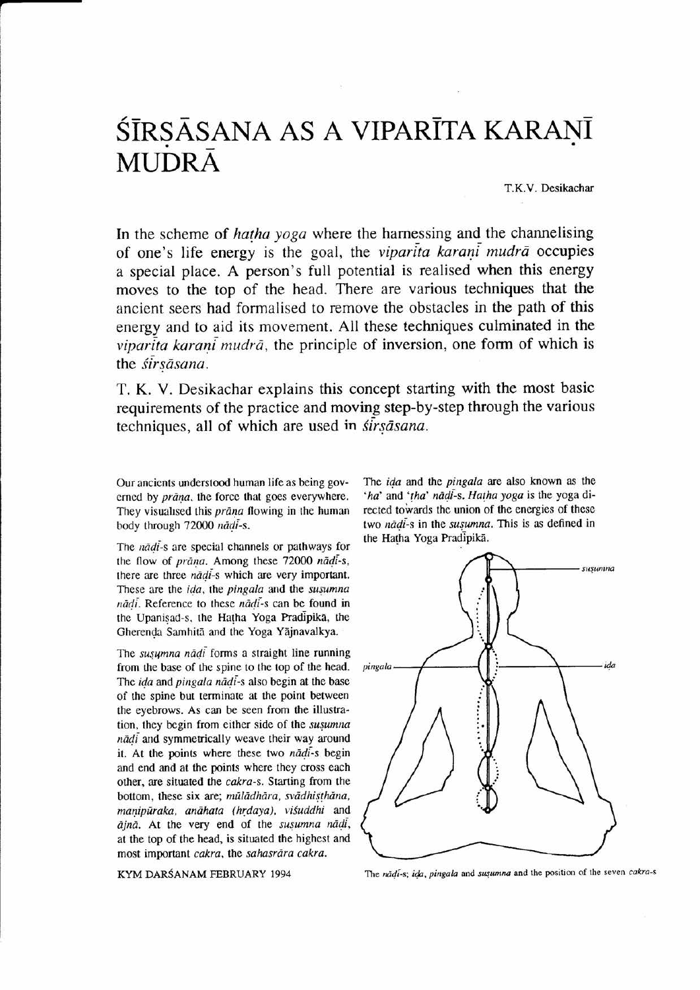## ŚĪRSĀSANA AS A VIPARĪTA KARANĪ **MUDRA**

T.K.V. Desikachar

In the scheme of *hatha yoga* where the harnessing and the channelising of one's life energy is the goal, the viparita karani mudra occupies a special place. A person's full potential is realised when this energy moves to the top of the head. There are various techniques that the ancient seers had formalised to remove the obstacles in the path of this energy and to aid its movement. All these techniques culminated in the  $viparita karan\overline{i} mudr\overline{a}$ , the principle of inversion, one form of which is the sirsāsana.

T. K. V. Desikachar explains this concept starting with the most basic requirements of the practice and moving step-by-step through the various techniques, all of which are used in *sirsāsana*.

Our ancicnts understood human lite as being governed by *prāna*, the force that goes everywhere. They visualised this *prāna* flowing in the human body through 72000 nādi-s.

The nādi-s are special channels or pathways for the flow of prana. Among these 72000 nadi-s, there are three nadi-s which are very important. These are the ida, the pingala and the susumna nādi. Reference to these nādi-s can be found in the Upanisad-s. the Hatha Yoga Pradipika. the Gherenda Samhitā and the Yoga Yājnavalkya.

The *susumna nādi* forms a straight line running from the base of the spine to the top of the head. The ida and pingala nādi-s also begin at the base of the spine but terminate at the point between the eyebrows. As can be seen from the illuslration, they begin from either side of the susumna  $n\ddot{a}d\dot{i}$  and symmetrically weave their way around it. At the points where these two nadi-s begin and end and at the points where they cross each other, are situated the cakra-s. Starting from the bottom, these six are; mūlādhāra, svādhisthāna, manipūraka, anāhata (hrdaya), visuddhi and  $ājnā$ . At the very end of the susumna nādi, at the top of the head, is situated the highest and most important cakra, the sahasrāra cakra.

KYM DARŚANAM FEBRUARY 1994

The *ida* and the *pingala* are also known as the 'ha' and 'tha' nādi-s. Hatha yoga is the yoga directed towards the union of the energies of these two nādi-s in the susumna. This is as defined in the Hatha Yoga Pradipika.



The nadi-s; ida, pingala and susumna and the position of the seven cakra-s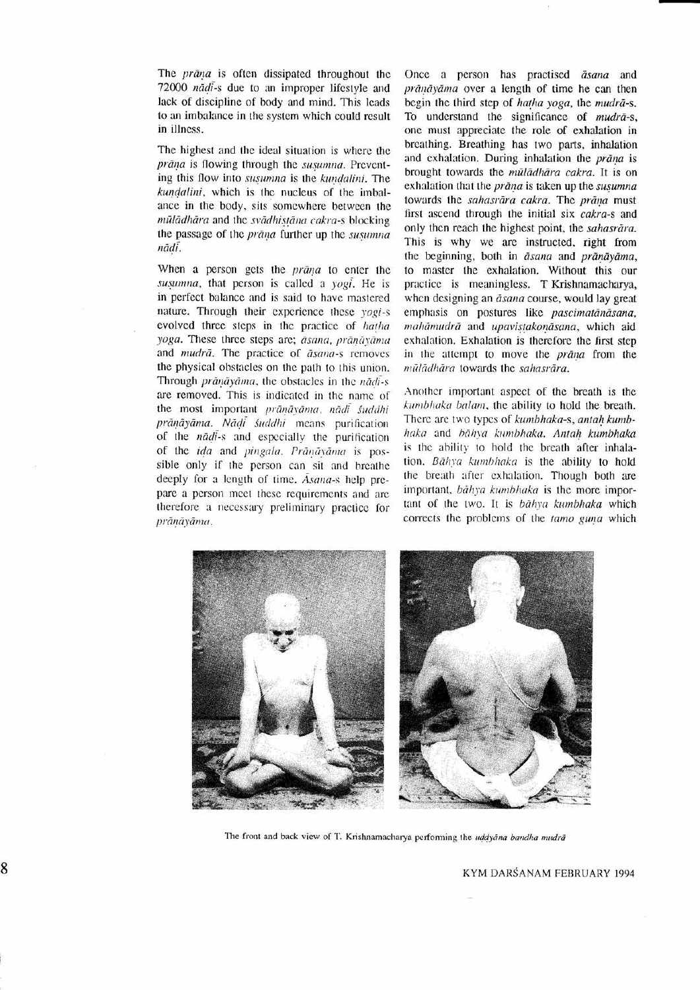The *prāna* is often dissipated throughout the 72000 nādi-s due to an improper lifestyle and lack of discipline of body and mind. This leads to an imbalance in the system which could result in illness.

The highest and the ideal situation is where the prāna is flowing through the susumna. Preventing this flow into susumna is the kundalini. The kundalini, which is the nucleus of the imbalance in the body, sits somewhere between the mūlādhāra and the svādhistāna cakra-s blocking the passage of the prāna further up the susumna nādi.

When a person gets the *prana* to enter the susumna, that person is called a yogi. He is in perfect balance and is said to have mastered nature. Through their experience these yogi-s evolved three steps in the practice of hatha yoga. These three steps are; āsana, prāņāyāma and mudrā. The practice of āsana-s removes the physical obstacles on the path to this union. Through prānāvāma, the obstacles in the nadi-s are removed. This is indicated in the name of the most important prānāvāma, nādi śuddhi prānāyāma. Nādī śuddhi means purification of the *nadi-s* and especially the purification of the ida and pingala. Prānāvāma is possible only if the person can sit and breathe deeply for a length of time. Asana-s help prepare a person meet these requirements and are therefore a necessary preliminary practice for prāņāyāma.

Once a person has practised āsana and prānāyāma over a length of time he can then begin the third step of hatha yoga, the mudrã-s. To understand the significance of *mudra-s*, one must appreciate the role of exhalation in breathing. Breathing has two parts, inhalation and exhalation. During inhalation the prāna is brought towards the mūlādhāra cakra. It is on exhalation that the *prāna* is taken up the *susumna* towards the sahasrāra cakra. The prāņa must first ascend through the initial six cakra-s and only then reach the highest point, the sahasrara. This is why we are instructed, right from the beginning, both in āsana and prānāyāma, to master the exhalation. Without this our practice is meaningless. T Krishnamacharya, when designing an *āsana* course, would lay great emphasis on postures like pascimatānāsana, mahāmudrā and upavistakonāsana, which aid exhalation. Exhalation is therefore the first step in the attempt to move the prana from the mūlādhāra towards the sahasrāra.

Another important aspect of the breath is the kumbhaka balam, the ability to hold the breath. There are two types of kumbhaka-s, antah kumbhaka and bāhva kumbhaka. Antah kumbhaka is the ability to hold the breath after inhalation. Bāhva kumbhaka is the ability to hold the breath after exhalation. Though both are important, båhya kumbhaka is the more important of the two. It is bahya kumbhaka which corrects the problems of the tamo guna which



The front and back view of T. Krishnamacharya performing the uddyana bandha mudrā

KYM DARŚANAM FEBRUARY 1994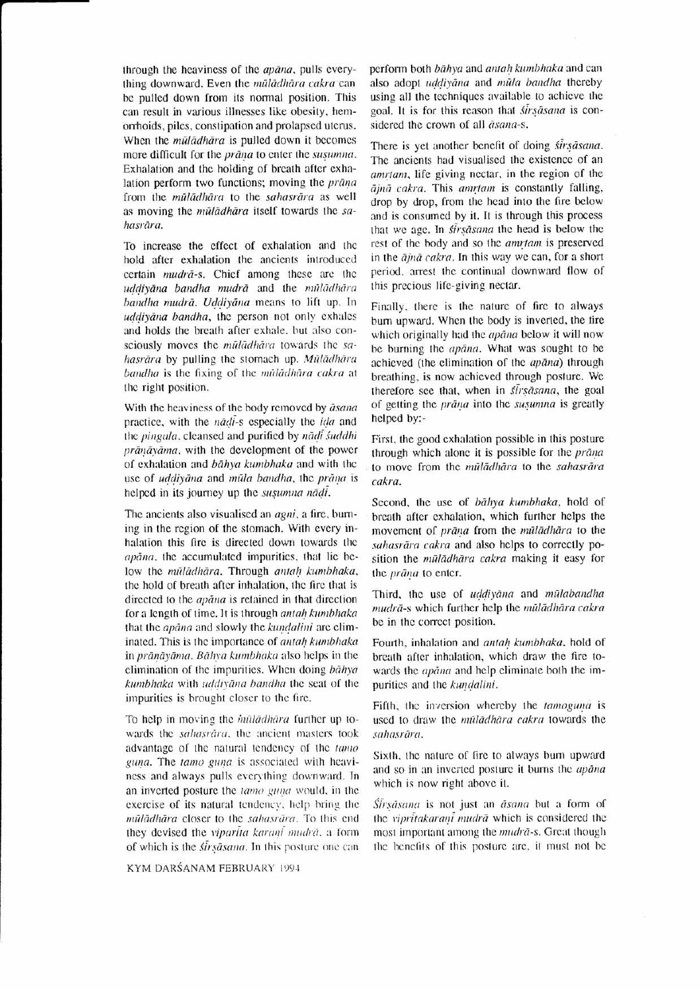through the heaviness of the *apana*, pulls everything downward. Even the mūlādhāra cakra can be pulled down from its normal position. This can result in various illnesscs like obesity, hemorhoids, piles, conslipation and prolapsed utcrus. When the *muladhara* is pulled down it becomes more difficult for the *prana* to enter the *susumna*. Exhalation and the holding of breath after exhalation perform two functions; moving the prana from the mūlādhāra to the sahasrāra as well as moving the mūlādhāra itself towards the sahasrāra.

To increase the effcct of exhalation and thc hold after exhalation the ancients introduced certain mudrā-s. Chief among these are the uddiyāna bandha mudrā and the mūlādhāra bandha mudrā. Uddiyāna means to lift up. In uddiyana bandha, the person not only exhales and holds the breath after exhale, but also consciously moves the mūlādhāra towards the sahasrāra by pulling the stomach up. Mūlādhāra bandha is the fixing of the muladhara cakra at lhc right position.

With the heaviness of the body removed by *asana* practice, with the *nadi-s* especially the *ida* and the *pingula*, cleansed and purified by *nadi* suddhi  $prānāvāma$ , with the development of the power of exhalation and bahya kumbhaka and with the use of uddiyana and mūla bandha, the prana is helped in its journey up the susumna nadi.

The ancients also visualised an *agni*, a fire, burning in the region of the stomach. With every inhalation this fire is directed down towards the apana, the accumulated impurities, that lie below the mūlādhāra. Through antah kumbhaka, the hold of breath after inhalation, the fire that is directed to the *apana* is retained in that direction for a length of time. It is through antah kumbhaka that the *apana* and slowly the kundalini are climinated. This is the importance of *antah kumbhaka* in prāņāyāma. Bāhya kumbhaka also helps in the elimination of the impurities. When doing  $b\bar{a}h$ ya kumbhaka with uddivāna bandha the seat of the impurities is brought closer to the fire.

To help in moving the *muladhara* further up towards the sahasrāra, the ancient masters took advantage of the natural tendency of the tamo guna. The tamo guna is associated with heaviness and always pulls everything downward. In an inverted posture the tamo guna would, in the exercise of its natural tendency, help bring the mūlādhāra closer to the sahasrāra. To this end they devised the *viparita karani mudra*, a form of which is the *sirsasana*. In this posture one can

KYM DARŚANAM FEBRUARY 1994

perform both bāhya and antah kumbhaka and can also adopt uddiyana and mūla bandha thereby using all thc tcchniqucs available to achicve the goal. It is for this reason that *sirsasana* is considered the crown of all  $\tilde{a}$ sana-s.

There is yet another benefit of doing *sirsasana*. The ancients had visualised the existence of an amrtam, life giving nectar, in the region of the ājnā cakra. This amrtam is constantly falling, drop by drop, from the head into the fire below and is consumed by it. It is through this process that we age. In *sirsasana* the head is below the rest of the body and so the *amrtam* is preserved in the  $\overline{a}$ jnā cakra. In this way we can, for a short period. arrest thc continual downwatd flow of this precious life-giving nectar.

Finally, there is the nature of fire to always burn upward. When the body is inverted, the fire which originally had the *apana* below it will now be burning the *apana*. What was sought to be achieved (the climination of the *apana*) through brealhing, is now achicved through posture. We therefore see that, when in *sirsasana*, the goal of getting the *prāna* into the susumna is greatly hclpcd by:-

First, the good exhalation possible in this posture through which alone it is possible for the *prana* to move from the mūlādhāra to the sahasrāra cakra.

Second, the use of bahya kumbhaka, hold of breath after exhalation, which further helps the movement of prāna from the mūlādhāra to the sahasrāra cakra and also helps to correctly position the mūlādhāra cakra making it easy for the prāna to enter.

Third, the use of uddiyana and mulabandha mudrā-s which further help the mūlādhāra cakra be in the correct position.

Fourth, inhalation and antah kumbhaka, hold of brcath aftcr inhalation, which draw the firc towards the *apana* and help climinate both the impurities and the kundalini.

Fifth, the inversion whereby the tamoguna is used to draw the mūlādhāra cakra towards the sahasrāra.

Sixth, the nature of fire to always burn upward and so in an inverted posture it burns the *apana* which is now right above it.

Sirsāsana is not just an āsana but a form of the vipritakarani mudrā which is considered the most important among the *mudra-s*. Great though the benefits of this posture are, it must not be